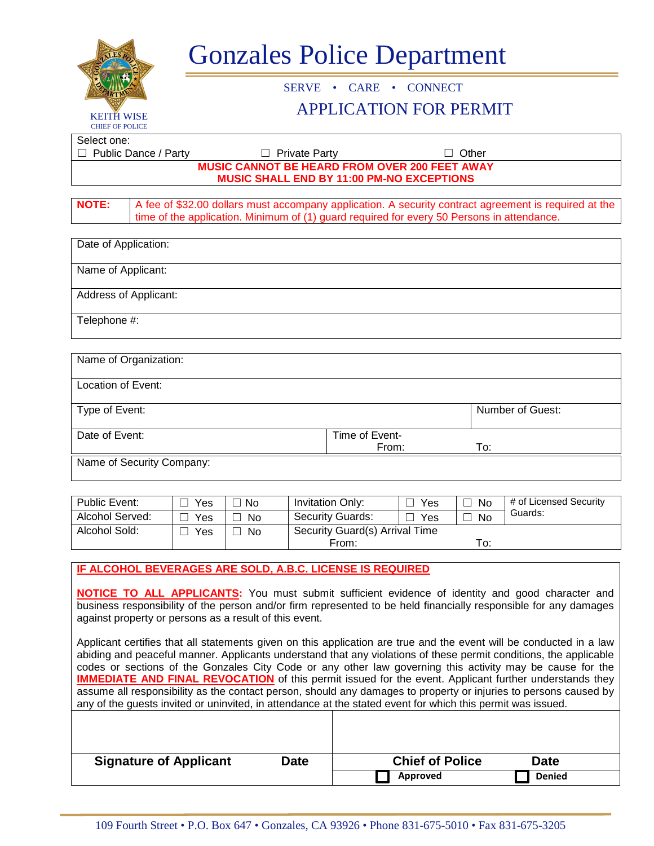| LES.                                                                                                                                                                                                                                                                                                                                             |               | <b>Gonzales Police Department</b> |                         |                                                |                                    |              |                                   |  |  |  |  |
|--------------------------------------------------------------------------------------------------------------------------------------------------------------------------------------------------------------------------------------------------------------------------------------------------------------------------------------------------|---------------|-----------------------------------|-------------------------|------------------------------------------------|------------------------------------|--------------|-----------------------------------|--|--|--|--|
|                                                                                                                                                                                                                                                                                                                                                  |               | • CARE • CONNECT<br><b>SERVE</b>  |                         |                                                |                                    |              |                                   |  |  |  |  |
|                                                                                                                                                                                                                                                                                                                                                  |               |                                   |                         | <b>APPLICATION FOR PERMIT</b>                  |                                    |              |                                   |  |  |  |  |
| <b>KEITH WISE</b><br><b>CHIEF OF POLICE</b>                                                                                                                                                                                                                                                                                                      |               |                                   |                         |                                                |                                    |              |                                   |  |  |  |  |
| Select one:<br>Public Dance / Party                                                                                                                                                                                                                                                                                                              |               |                                   | <b>Private Party</b>    |                                                |                                    | Other        |                                   |  |  |  |  |
| <b>MUSIC CANNOT BE HEARD FROM OVER 200 FEET AWAY</b>                                                                                                                                                                                                                                                                                             |               |                                   |                         |                                                |                                    |              |                                   |  |  |  |  |
| MUSIC SHALL END BY 11:00 PM-NO EXCEPTIONS                                                                                                                                                                                                                                                                                                        |               |                                   |                         |                                                |                                    |              |                                   |  |  |  |  |
| <b>NOTE:</b><br>A fee of \$32.00 dollars must accompany application. A security contract agreement is required at the<br>time of the application. Minimum of (1) guard required for every 50 Persons in attendance.                                                                                                                              |               |                                   |                         |                                                |                                    |              |                                   |  |  |  |  |
| Date of Application:                                                                                                                                                                                                                                                                                                                             |               |                                   |                         |                                                |                                    |              |                                   |  |  |  |  |
| Name of Applicant:                                                                                                                                                                                                                                                                                                                               |               |                                   |                         |                                                |                                    |              |                                   |  |  |  |  |
| <b>Address of Applicant:</b>                                                                                                                                                                                                                                                                                                                     |               |                                   |                         |                                                |                                    |              |                                   |  |  |  |  |
| Telephone #:                                                                                                                                                                                                                                                                                                                                     |               |                                   |                         |                                                |                                    |              |                                   |  |  |  |  |
| Name of Organization:                                                                                                                                                                                                                                                                                                                            |               |                                   |                         |                                                |                                    |              |                                   |  |  |  |  |
| Location of Event:                                                                                                                                                                                                                                                                                                                               |               |                                   |                         |                                                |                                    |              |                                   |  |  |  |  |
|                                                                                                                                                                                                                                                                                                                                                  |               |                                   |                         |                                                |                                    |              |                                   |  |  |  |  |
| Type of Event:                                                                                                                                                                                                                                                                                                                                   |               |                                   |                         |                                                | Number of Guest:                   |              |                                   |  |  |  |  |
| Date of Event:                                                                                                                                                                                                                                                                                                                                   |               |                                   |                         | Time of Event-                                 | To:<br>From:                       |              |                                   |  |  |  |  |
| Name of Security Company:                                                                                                                                                                                                                                                                                                                        |               |                                   |                         |                                                |                                    |              |                                   |  |  |  |  |
|                                                                                                                                                                                                                                                                                                                                                  |               |                                   |                         |                                                |                                    |              |                                   |  |  |  |  |
| Public Event:                                                                                                                                                                                                                                                                                                                                    | Yes<br>$\Box$ | $\Box$ No                         | <b>Invitation Only:</b> |                                                | Yes                                | $\Box$ No    | # of Licensed Security<br>Guards: |  |  |  |  |
| Alcohol Served:                                                                                                                                                                                                                                                                                                                                  | $\Box$ Yes    | $\Box$ No                         |                         | <b>Security Guards:</b><br>Yes<br>$\Box$       |                                    | $\square$ No |                                   |  |  |  |  |
| Alcohol Sold:                                                                                                                                                                                                                                                                                                                                    | Yes<br>ш      | $\Box$ No                         |                         | Security Guard(s) Arrival Time<br>To:<br>From: |                                    |              |                                   |  |  |  |  |
| IF ALCOHOL BEVERAGES ARE SOLD, A.B.C. LICENSE IS REQUIRED                                                                                                                                                                                                                                                                                        |               |                                   |                         |                                                |                                    |              |                                   |  |  |  |  |
|                                                                                                                                                                                                                                                                                                                                                  |               |                                   |                         |                                                |                                    |              |                                   |  |  |  |  |
| <b>NOTICE TO ALL APPLICANTS:</b> You must submit sufficient evidence of identity and good character and<br>business responsibility of the person and/or firm represented to be held financially responsible for any damages<br>against property or persons as a result of this event.                                                            |               |                                   |                         |                                                |                                    |              |                                   |  |  |  |  |
| Applicant certifies that all statements given on this application are true and the event will be conducted in a law                                                                                                                                                                                                                              |               |                                   |                         |                                                |                                    |              |                                   |  |  |  |  |
| abiding and peaceful manner. Applicants understand that any violations of these permit conditions, the applicable<br>codes or sections of the Gonzales City Code or any other law governing this activity may be cause for the                                                                                                                   |               |                                   |                         |                                                |                                    |              |                                   |  |  |  |  |
| <b>IMMEDIATE AND FINAL REVOCATION</b> of this permit issued for the event. Applicant further understands they<br>assume all responsibility as the contact person, should any damages to property or injuries to persons caused by<br>any of the guests invited or uninvited, in attendance at the stated event for which this permit was issued. |               |                                   |                         |                                                |                                    |              |                                   |  |  |  |  |
|                                                                                                                                                                                                                                                                                                                                                  |               |                                   |                         |                                                |                                    |              |                                   |  |  |  |  |
|                                                                                                                                                                                                                                                                                                                                                  |               |                                   |                         |                                                |                                    |              |                                   |  |  |  |  |
| <b>Signature of Applicant</b><br><b>Date</b>                                                                                                                                                                                                                                                                                                     |               |                                   |                         |                                                | <b>Chief of Police</b><br>Approved |              | <b>Date</b><br><b>Denied</b>      |  |  |  |  |
|                                                                                                                                                                                                                                                                                                                                                  |               |                                   |                         |                                                |                                    |              |                                   |  |  |  |  |